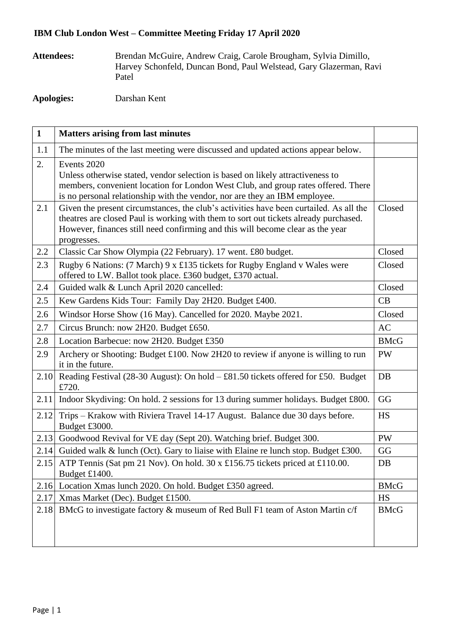## **IBM Club London West – Committee Meeting Friday 17 April 2020**

**Attendees:** Brendan McGuire, Andrew Craig, Carole Brougham, Sylvia Dimillo, Harvey Schonfeld, Duncan Bond, Paul Welstead, Gary Glazerman, Ravi Patel

**Apologies:** Darshan Kent

| $\mathbf{1}$ | <b>Matters arising from last minutes</b>                                                                                                                                                                                                                                        |             |
|--------------|---------------------------------------------------------------------------------------------------------------------------------------------------------------------------------------------------------------------------------------------------------------------------------|-------------|
| 1.1          | The minutes of the last meeting were discussed and updated actions appear below.                                                                                                                                                                                                |             |
| 2.           | Events 2020<br>Unless otherwise stated, vendor selection is based on likely attractiveness to<br>members, convenient location for London West Club, and group rates offered. There<br>is no personal relationship with the vendor, nor are they an IBM employee.                |             |
| 2.1          | Given the present circumstances, the club's activities have been curtailed. As all the<br>theatres are closed Paul is working with them to sort out tickets already purchased.<br>However, finances still need confirming and this will become clear as the year<br>progresses. | Closed      |
| 2.2          | Classic Car Show Olympia (22 February). 17 went. £80 budget.                                                                                                                                                                                                                    | Closed      |
| 2.3          | Rugby 6 Nations: (7 March) 9 x £135 tickets for Rugby England v Wales were<br>offered to LW. Ballot took place. £360 budget, £370 actual.                                                                                                                                       | Closed      |
| 2.4          | Guided walk & Lunch April 2020 cancelled:                                                                                                                                                                                                                                       | Closed      |
| 2.5          | Kew Gardens Kids Tour: Family Day 2H20. Budget £400.                                                                                                                                                                                                                            | CB          |
| 2.6          | Windsor Horse Show (16 May). Cancelled for 2020. Maybe 2021.                                                                                                                                                                                                                    | Closed      |
| 2.7          | Circus Brunch: now 2H20. Budget £650.                                                                                                                                                                                                                                           | <b>AC</b>   |
| 2.8          | Location Barbecue: now 2H20. Budget £350                                                                                                                                                                                                                                        | <b>BMcG</b> |
| 2.9          | Archery or Shooting: Budget £100. Now 2H20 to review if anyone is willing to run<br>it in the future.                                                                                                                                                                           | <b>PW</b>   |
| 2.10         | Reading Festival (28-30 August): On hold $- £81.50$ tickets offered for £50. Budget<br>£720.                                                                                                                                                                                    | DB          |
| 2.11         | Indoor Skydiving: On hold. 2 sessions for 13 during summer holidays. Budget £800.                                                                                                                                                                                               | GG          |
| 2.12         | Trips - Krakow with Riviera Travel 14-17 August. Balance due 30 days before.<br>Budget £3000.                                                                                                                                                                                   | <b>HS</b>   |
|              | 2.13 Goodwood Revival for VE day (Sept 20). Watching brief. Budget 300.                                                                                                                                                                                                         | PW          |
|              | 2.14 Guided walk & lunch (Oct). Gary to liaise with Elaine re lunch stop. Budget £300.                                                                                                                                                                                          | GG          |
|              | 2.15 ATP Tennis (Sat pm 21 Nov). On hold. 30 x £156.75 tickets priced at £110.00.<br>Budget £1400.                                                                                                                                                                              | DB          |
| 2.16         | Location Xmas lunch 2020. On hold. Budget £350 agreed.                                                                                                                                                                                                                          | <b>BMcG</b> |
| 2.17         | Xmas Market (Dec). Budget £1500.                                                                                                                                                                                                                                                | HS          |
| 2.18         | BMcG to investigate factory & museum of Red Bull F1 team of Aston Martin c/f                                                                                                                                                                                                    | <b>BMcG</b> |